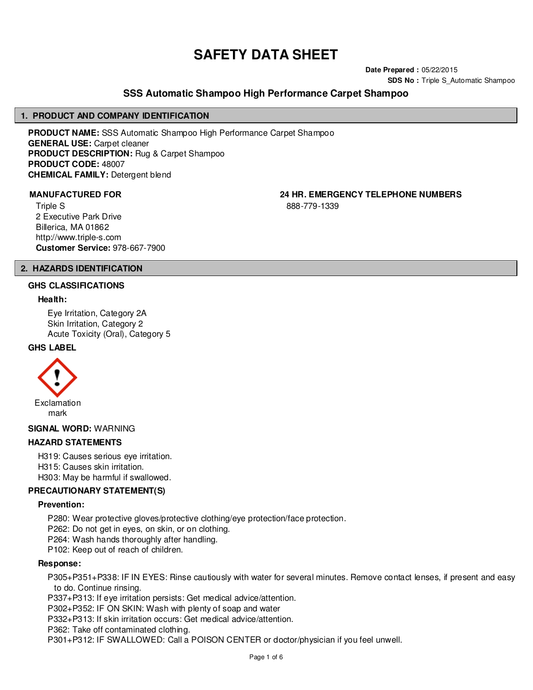# **SAFETY DATA SHEET**

**Date Prepared :** 05/22/2015 **SDS No : Triple S Automatic Shampoo** 

# **SSS Automatic Shampoo High Performance Carpet Shampoo**

#### **1. PRODUCT AND COMPANY IDENTIFICATION**

**PRODUCT NAME:** SSS Automatic Shampoo High Performance Carpet Shampoo **GENERAL USE:** Carpet cleaner **PRODUCT DESCRIPTION:** Rug & Carpet Shampoo **PRODUCT CODE:** 48007 **CHEMICAL FAMILY:** Detergent blend

**MANUFACTURED FOR 24 HR. EMERGENCY TELEPHONE NUMBERS**

Triple S 2 Executive Park Drive Billerica, MA 01862 http://www.triple-s.com **Customer Service:** 978-667-7900 888-779-1339

# **2. HAZARDS IDENTIFICATION**

#### **GHS CLASSIFICATIONS**

#### **Health:**

Eye Irritation, Category 2A Skin Irritation, Category 2 Acute Toxicity (Oral), Category 5

#### **GHS LABEL**



**SIGNAL WORD:** WARNING

#### **HAZARD STATEMENTS**

H319: Causes serious eye irritation. H315: Causes skin irritation. H303: May be harmful if swallowed.

#### **PRECAUTIONARY STATEMENT(S)**

#### **Prevention:**

P280: Wear protective gloves/protective clothing/eye protection/face protection.

P262: Do not get in eyes, on skin, or on clothing.

P264: Wash hands thoroughly after handling.

P102: Keep out of reach of children.

#### **Response:**

P305+P351+P338: IF IN EYES: Rinse cautiously with water for several minutes. Remove contact lenses, if present and easy to do. Continue rinsing.

P337+P313: If eye irritation persists: Get medical advice/attention.

P302+P352: IF ON SKIN: Wash with plenty of soap and water

P332+P313: If skin irritation occurs: Get medical advice/attention.

P362: Take off contaminated clothing.

P301+P312: IF SWALLOWED: Call a POISON CENTER or doctor/physician if you feel unwell.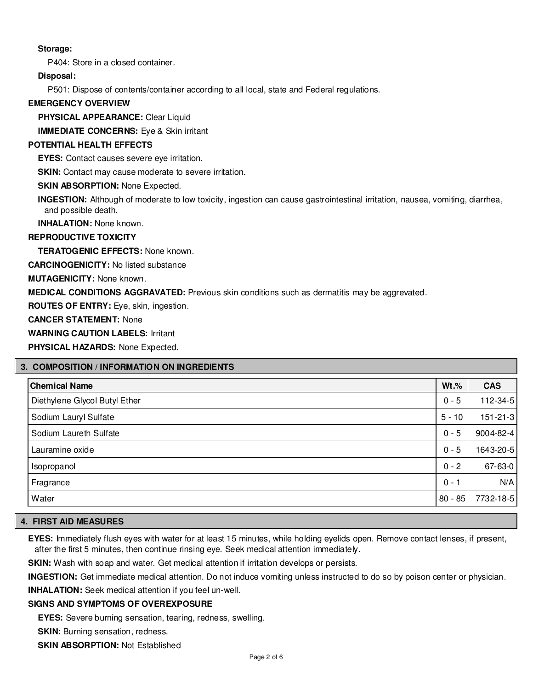# **Storage:**

P404: Store in a closed container.

### **Disposal:**

P501: Dispose of contents/container according to all local, state and Federal regulations.

#### **EMERGENCY OVERVIEW**

**PHYSICAL APPEARANCE:** Clear Liquid

**IMMEDIATE CONCERNS:** Eye & Skin irritant

#### **POTENTIAL HEALTH EFFECTS**

**EYES:** Contact causes severe eye irritation.

**SKIN:** Contact may cause moderate to severe irritation.

**SKIN ABSORPTION: None Expected.** 

**INGESTION:** Although of moderate to low toxicity, ingestion can cause gastrointestinal irritation, nausea, vomiting, diarrhea, and possible death.

**INHALATION:** None known.

#### **REPRODUCTIVE TOXICITY**

**TERATOGENIC EFFECTS:** None known.

**CARCINOGENICITY:** No listed substance

**MUTAGENICITY:** None known.

**MEDICAL CONDITIONS AGGRAVATED:** Previous skin conditions such as dermatitis may be aggrevated.

**ROUTES OF ENTRY:** Eye, skin, ingestion.

**CANCER STATEMENT:** None

**WARNING CAUTION LABELS:** Irritant

**PHYSICAL HAZARDS:** None Expected.

#### **3. COMPOSITION / INFORMATION ON INGREDIENTS**

| <b>Chemical Name</b>          | $Wt.$ %   | <b>CAS</b>     |
|-------------------------------|-----------|----------------|
| Diethylene Glycol Butyl Ether | $0 - 5$   | $112 - 34 - 5$ |
| Sodium Lauryl Sulfate         | $5 - 10$  | $151 - 21 - 3$ |
| Sodium Laureth Sulfate        | $0 - 5$   | 9004-82-4      |
| Lauramine oxide               | $0 - 5$   | 1643-20-5      |
| Isopropanol                   | $0 - 2$   | 67-63-0        |
| Fragrance                     | $0 - 1$   | N/A            |
| Water                         | $80 - 85$ | 7732-18-5      |

### **4. FIRST AID MEASURES**

**EYES:** Immediately flush eyes with water for at least 15 minutes, while holding eyelids open. Remove contact lenses, if present, after the first 5 minutes, then continue rinsing eye. Seek medical attention immediately.

**SKIN:** Wash with soap and water. Get medical attention if irritation develops or persists.

**INGESTION:** Get immediate medical attention. Do not induce vomiting unless instructed to do so by poison center or physician.

**INHALATION:** Seek medical attention if you feel un-well.

#### **SIGNS AND SYMPTOMS OF OVEREXPOSURE**

**EYES:** Severe burning sensation, tearing, redness, swelling.

**SKIN:** Burning sensation, redness.

**SKIN ABSORPTION:** Not Established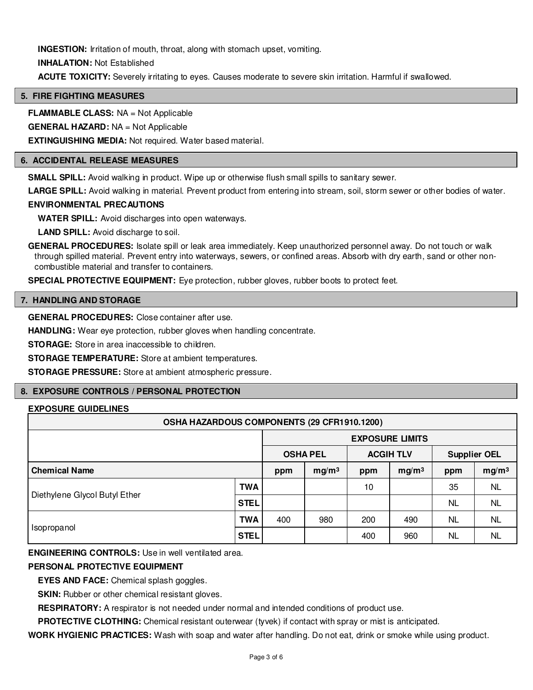**INGESTION:** Irritation of mouth, throat, along with stomach upset, vomiting.

**INHALATION:** Not Established

**ACUTE TOXICITY:** Severely irritating to eyes. Causes moderate to severe skin irritation. Harmful if swallowed.

# **5. FIRE FIGHTING MEASURES**

**FLAMMABLE CLASS:** NA = Not Applicable

**GENERAL HAZARD:** NA = Not Applicable

**EXTINGUISHING MEDIA:** Not required. Water based material.

#### **6. ACCIDENTAL RELEASE MEASURES**

**SMALL SPILL:** Avoid walking in product. Wipe up or otherwise flush small spills to sanitary sewer.

**LARGE SPILL:** Avoid walking in material. Prevent product from entering into stream, soil, storm sewer or other bodies of water.

#### **ENVIRONMENTAL PRECAUTIONS**

**WATER SPILL:** Avoid discharges into open waterways.

**LAND SPILL:** Avoid discharge to soil.

**GENERAL PROCEDURES:** Isolate spill or leak area immediately. Keep unauthorized personnel away. Do not touch or walk through spilled material. Prevent entry into waterways, sewers, or confined areas. Absorb with dry earth, sand or other noncombustible material and transfer to containers.

**SPECIAL PROTECTIVE EQUIPMENT:** Eye protection, rubber gloves, rubber boots to protect feet.

### **7. HANDLING AND STORAGE**

**GENERAL PROCEDURES:** Close container after use.

HANDLING: Wear eye protection, rubber gloves when handling concentrate.

**STORAGE:** Store in area inaccessible to children.

**STORAGE TEMPERATURE:** Store at ambient temperatures.

**STORAGE PRESSURE:** Store at ambient atmospheric pressure.

# **8. EXPOSURE CONTROLS / PERSONAL PROTECTION**

# **EXPOSURE GUIDELINES**

| OSHA HAZARDOUS COMPONENTS (29 CFR1910.1200) |             |                        |                   |                  |                   |                     |                   |
|---------------------------------------------|-------------|------------------------|-------------------|------------------|-------------------|---------------------|-------------------|
|                                             |             | <b>EXPOSURE LIMITS</b> |                   |                  |                   |                     |                   |
|                                             |             | <b>OSHA PEL</b>        |                   | <b>ACGIH TLV</b> |                   | <b>Supplier OEL</b> |                   |
| <b>Chemical Name</b>                        |             | ppm                    | mg/m <sup>3</sup> | ppm              | mg/m <sup>3</sup> | ppm                 | mg/m <sup>3</sup> |
|                                             | TWA         |                        |                   | 10               |                   | 35                  | <b>NL</b>         |
| Diethylene Glycol Butyl Ether               | STEL        |                        |                   |                  |                   | <b>NL</b>           | NL.               |
|                                             | TWA         | 400                    | 980               | 200              | 490               | <b>NL</b>           | <b>NL</b>         |
| Isopropanol                                 | <b>STEL</b> |                        |                   | 400              | 960               | ΝL                  | NL                |

**ENGINEERING CONTROLS:** Use in well ventilated area.

#### **PERSONAL PROTECTIVE EQUIPMENT**

**EYES AND FACE:** Chemical splash goggles.

**SKIN:** Rubber or other chemical resistant gloves.

**RESPIRATORY:** A respirator is not needed under normal and intended conditions of product use.

**PROTECTIVE CLOTHING:** Chemical resistant outerwear (tyvek) if contact with spray or mist is anticipated.

**WORK HYGIENIC PRACTICES:** Wash with soap and water after handling. Do not eat, drink or smoke while using product.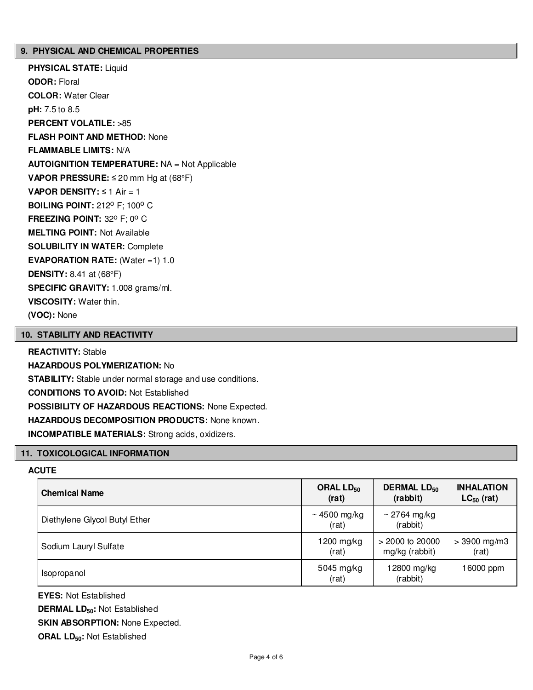#### **9. PHYSICAL AND CHEMICAL PROPERTIES**

**PHYSICAL STATE:** Liquid **ODOR:** Floral **COLOR:** Water Clear **pH:** 7.5 to 8.5 **PERCENT VOLATILE:** >85 **FLASH POINT AND METHOD:** None **FLAMMABLE LIMITS:** N/A **AUTOIGNITION TEMPERATURE:** NA = Not Applicable **VAPOR PRESSURE:** ≤ 20 mm Hg at (68°F) **VAPOR DENSITY:** ≤ 1 Air = 1 **BOILING POINT: 212° F; 100° C FREEZING POINT: 32° F; 0° C MELTING POINT:** Not Available **SOLUBILITY IN WATER:** Complete **EVAPORATION RATE:** (Water =1) 1.0 **DENSITY:** 8.41 at (68°F) **SPECIFIC GRAVITY:** 1.008 grams/ml. **VISCOSITY:** Water thin. **(VOC):** None

### **10. STABILITY AND REACTIVITY**

#### **REACTIVITY:** Stable

**HAZARDOUS POLYMERIZATION:** No **STABILITY:** Stable under normal storage and use conditions. **CONDITIONS TO AVOID:** Not Established **POSSIBILITY OF HAZARDOUS REACTIONS:** None Expected. **HAZARDOUS DECOMPOSITION PRODUCTS:** None known. **INCOMPATIBLE MATERIALS:** Strong acids, oxidizers.

#### **11. TOXICOLOGICAL INFORMATION**

# **ACUTE**

| <b>Chemical Name</b>          | ORAL $LD_{50}$             | <b>DERMAL LD<sub>50</sub></b> | <b>INHALATION</b> |
|-------------------------------|----------------------------|-------------------------------|-------------------|
|                               | (rat)                      | (rabbit)                      | $LC_{50}$ (rat)   |
| Diethylene Glycol Butyl Ether | $\sim$ 4500 mg/kg<br>(rat) | $\sim$ 2764 mg/kg<br>(rabbit) |                   |
| Sodium Lauryl Sulfate         | 1200 mg/kg                 | $> 2000$ to 20000             | $> 3900$ mg/m3    |
|                               | (rat)                      | mg/kg (rabbit)                | (rat)             |
| Isopropanol                   | 5045 mg/kg<br>(rat)        | 12800 mg/kg<br>(rabbit)       | 16000 ppm         |

**EYES:** Not Established

**DERMAL LD50:** Not Established

**SKIN ABSORPTION:** None Expected.

**ORAL LD50:** Not Established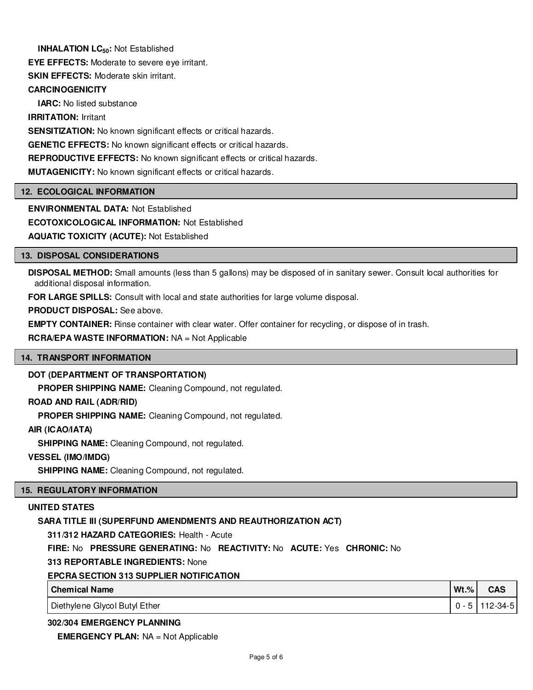# **INHALATION LC<sub>50</sub>: Not Established**

**EYE EFFECTS:** Moderate to severe eye irritant.

**SKIN EFFECTS: Moderate skin irritant.** 

# **CARCINOGENICITY**

**IARC:** No listed substance

**IRRITATION:** Irritant

**SENSITIZATION:** No known significant effects or critical hazards.

**GENETIC EFFECTS:** No known significant effects or critical hazards.

**REPRODUCTIVE EFFECTS:** No known significant effects or critical hazards.

**MUTAGENICITY:** No known significant effects or critical hazards.

# **12. ECOLOGICAL INFORMATION**

**ENVIRONMENTAL DATA:** Not Established

**ECOTOXICOLOGICAL INFORMATION:** Not Established

**AQUATIC TOXICITY (ACUTE):** Not Established

# **13. DISPOSAL CONSIDERATIONS**

**DISPOSAL METHOD:** Small amounts (less than 5 gallons) may be disposed of in sanitary sewer. Consult local authorities for additional disposal information.

**FOR LARGE SPILLS:** Consult with local and state authorities for large volume disposal.

**PRODUCT DISPOSAL:** See above.

**EMPTY CONTAINER:** Rinse container with clear water. Offer container for recycling, or dispose of in trash.

**RCRA/EPA WASTE INFORMATION:** NA = Not Applicable

# **14. TRANSPORT INFORMATION**

# **DOT (DEPARTMENT OF TRANSPORTATION)**

**PROPER SHIPPING NAME:** Cleaning Compound, not regulated.

# **ROAD AND RAIL (ADR/RID)**

**PROPER SHIPPING NAME:** Cleaning Compound, not regulated.

# **AIR (ICAO/IATA)**

**SHIPPING NAME:** Cleaning Compound, not regulated.

# **VESSEL (IMO/IMDG)**

**SHIPPING NAME:** Cleaning Compound, not regulated.

# **15. REGULATORY INFORMATION**

# **UNITED STATES**

# **SARA TITLE III (SUPERFUND AMENDMENTS AND REAUTHORIZATION ACT)**

**311/312 HAZARD CATEGORIES:** Health - Acute

**FIRE:** No **PRESSURE GENERATING:** No **REACTIVITY:** No **ACUTE:** Yes **CHRONIC:** No

**313 REPORTABLE INGREDIENTS:** None

# **EPCRA SECTION 313 SUPPLIER NOTIFICATION**

| <b>Chemical Name</b>          | $Wt.\%$ | <b>CAS</b>     |
|-------------------------------|---------|----------------|
| Diethylene Glycol Butyl Ether | $0 - 5$ | $112 - 34 - 5$ |

# **302/304 EMERGENCY PLANNING**

**EMERGENCY PLAN:** NA = Not Applicable